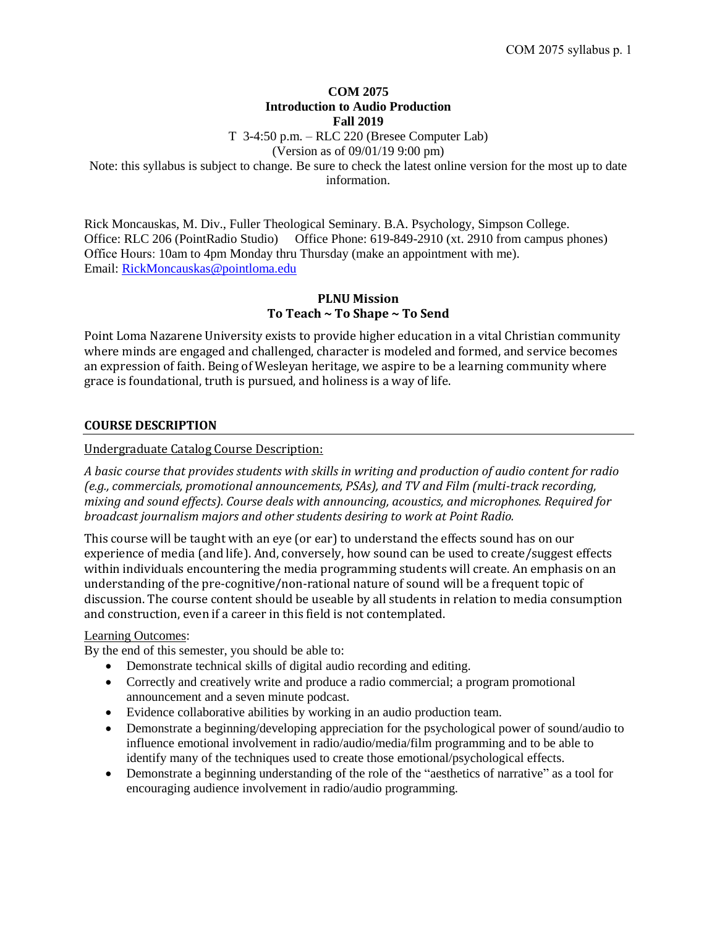## **COM 2075 Introduction to Audio Production Fall 2019**

T 3-4:50 p.m. – RLC 220 (Bresee Computer Lab)

(Version as of 09/01/19 9:00 pm)

Note: this syllabus is subject to change. Be sure to check the latest online version for the most up to date information.

Rick Moncauskas, M. Div., Fuller Theological Seminary. B.A. Psychology, Simpson College. Office: RLC 206 (PointRadio Studio) Office Phone: 619-849-2910 (xt. 2910 from campus phones) Office Hours: 10am to 4pm Monday thru Thursday (make an appointment with me). Email: [RickMoncauskas@pointloma.edu](mailto:RickMoncauskas@pointloma.edu)

# **PLNU Mission To Teach ~ To Shape ~ To Send**

Point Loma Nazarene University exists to provide higher education in a vital Christian community where minds are engaged and challenged, character is modeled and formed, and service becomes an expression of faith. Being of Wesleyan heritage, we aspire to be a learning community where grace is foundational, truth is pursued, and holiness is a way of life.

# **COURSE DESCRIPTION**

## Undergraduate Catalog Course Description:

*A basic course that provides students with skills in writing and production of audio content for radio (e.g., commercials, promotional announcements, PSAs), and TV and Film (multi-track recording, mixing and sound effects). Course deals with announcing, acoustics, and microphones. Required for broadcast journalism majors and other students desiring to work at Point Radio.*

This course will be taught with an eye (or ear) to understand the effects sound has on our experience of media (and life). And, conversely, how sound can be used to create/suggest effects within individuals encountering the media programming students will create. An emphasis on an understanding of the pre-cognitive/non-rational nature of sound will be a frequent topic of discussion. The course content should be useable by all students in relation to media consumption and construction, even if a career in this field is not contemplated.

## Learning Outcomes:

By the end of this semester, you should be able to:

- Demonstrate technical skills of digital audio recording and editing.
- Correctly and creatively write and produce a radio commercial; a program promotional announcement and a seven minute podcast.
- Evidence collaborative abilities by working in an audio production team.
- Demonstrate a beginning/developing appreciation for the psychological power of sound/audio to influence emotional involvement in radio/audio/media/film programming and to be able to identify many of the techniques used to create those emotional/psychological effects.
- Demonstrate a beginning understanding of the role of the "aesthetics of narrative" as a tool for encouraging audience involvement in radio/audio programming.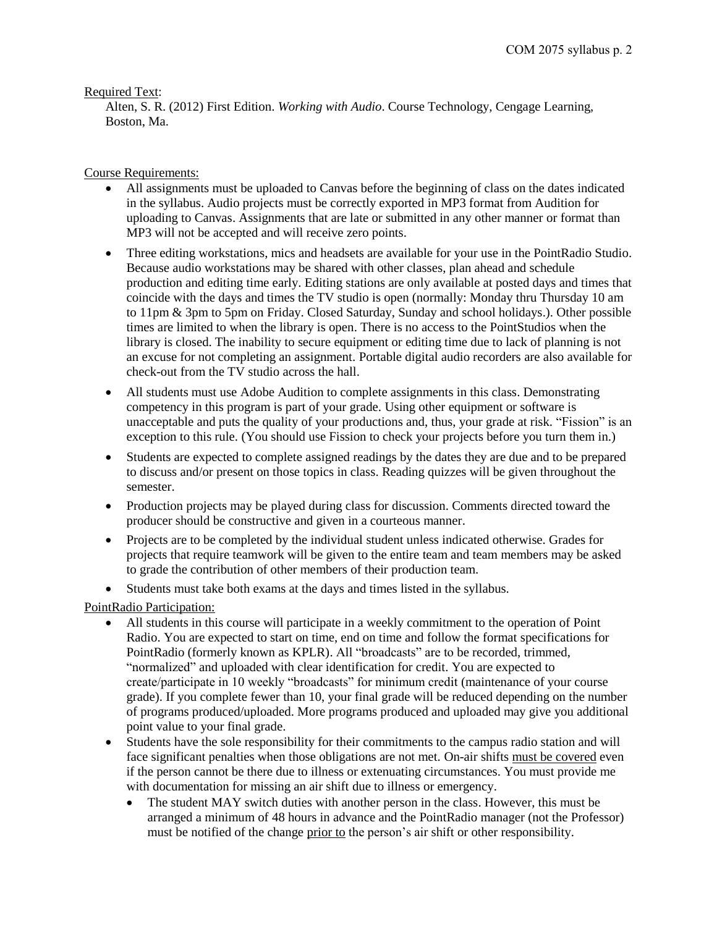## Required Text:

Alten, S. R. (2012) First Edition. *Working with Audio*. Course Technology, Cengage Learning, Boston, Ma.

## Course Requirements:

- All assignments must be uploaded to Canvas before the beginning of class on the dates indicated in the syllabus. Audio projects must be correctly exported in MP3 format from Audition for uploading to Canvas. Assignments that are late or submitted in any other manner or format than MP3 will not be accepted and will receive zero points.
- Three editing workstations, mics and headsets are available for your use in the PointRadio Studio. Because audio workstations may be shared with other classes, plan ahead and schedule production and editing time early. Editing stations are only available at posted days and times that coincide with the days and times the TV studio is open (normally: Monday thru Thursday 10 am to 11pm & 3pm to 5pm on Friday. Closed Saturday, Sunday and school holidays.). Other possible times are limited to when the library is open. There is no access to the PointStudios when the library is closed. The inability to secure equipment or editing time due to lack of planning is not an excuse for not completing an assignment. Portable digital audio recorders are also available for check-out from the TV studio across the hall.
- All students must use Adobe Audition to complete assignments in this class. Demonstrating competency in this program is part of your grade. Using other equipment or software is unacceptable and puts the quality of your productions and, thus, your grade at risk. "Fission" is an exception to this rule. (You should use Fission to check your projects before you turn them in.)
- Students are expected to complete assigned readings by the dates they are due and to be prepared to discuss and/or present on those topics in class. Reading quizzes will be given throughout the semester.
- Production projects may be played during class for discussion. Comments directed toward the producer should be constructive and given in a courteous manner.
- Projects are to be completed by the individual student unless indicated otherwise. Grades for projects that require teamwork will be given to the entire team and team members may be asked to grade the contribution of other members of their production team.
- Students must take both exams at the days and times listed in the syllabus.

# PointRadio Participation:

- All students in this course will participate in a weekly commitment to the operation of Point Radio. You are expected to start on time, end on time and follow the format specifications for PointRadio (formerly known as KPLR). All "broadcasts" are to be recorded, trimmed, "normalized" and uploaded with clear identification for credit. You are expected to create/participate in 10 weekly "broadcasts" for minimum credit (maintenance of your course grade). If you complete fewer than 10, your final grade will be reduced depending on the number of programs produced/uploaded. More programs produced and uploaded may give you additional point value to your final grade.
- Students have the sole responsibility for their commitments to the campus radio station and will face significant penalties when those obligations are not met. On-air shifts must be covered even if the person cannot be there due to illness or extenuating circumstances. You must provide me with documentation for missing an air shift due to illness or emergency.
	- The student MAY switch duties with another person in the class. However, this must be arranged a minimum of 48 hours in advance and the PointRadio manager (not the Professor) must be notified of the change prior to the person's air shift or other responsibility.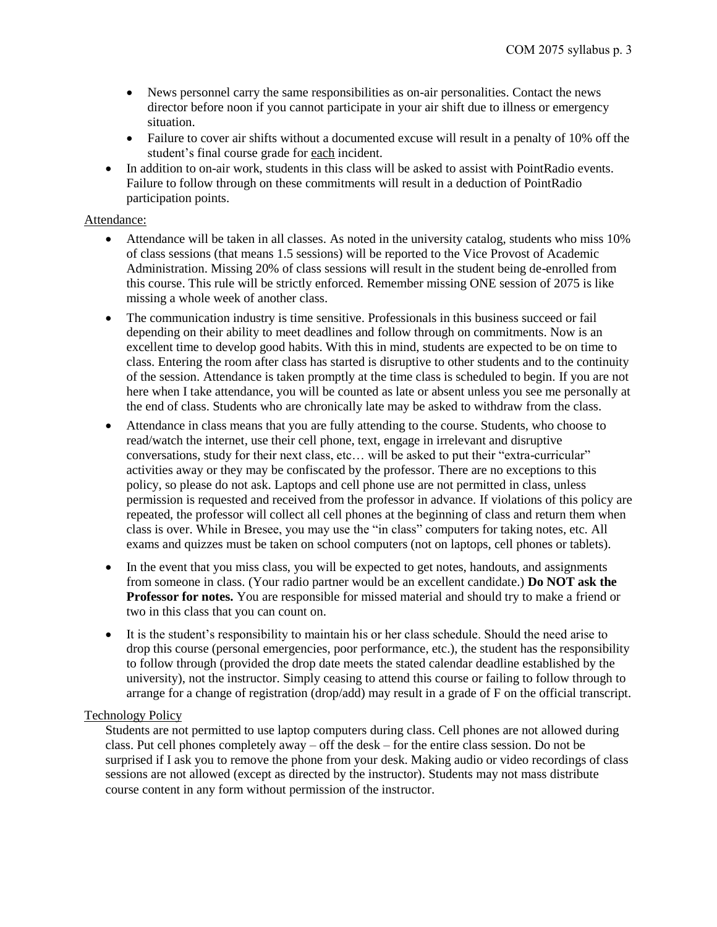- News personnel carry the same responsibilities as on-air personalities. Contact the news director before noon if you cannot participate in your air shift due to illness or emergency situation.
- Failure to cover air shifts without a documented excuse will result in a penalty of 10% off the student's final course grade for each incident.
- In addition to on-air work, students in this class will be asked to assist with PointRadio events. Failure to follow through on these commitments will result in a deduction of PointRadio participation points.

## Attendance:

- Attendance will be taken in all classes. As noted in the university catalog, students who miss 10% of class sessions (that means 1.5 sessions) will be reported to the Vice Provost of Academic Administration. Missing 20% of class sessions will result in the student being de-enrolled from this course. This rule will be strictly enforced. Remember missing ONE session of 2075 is like missing a whole week of another class.
- The communication industry is time sensitive. Professionals in this business succeed or fail depending on their ability to meet deadlines and follow through on commitments. Now is an excellent time to develop good habits. With this in mind, students are expected to be on time to class. Entering the room after class has started is disruptive to other students and to the continuity of the session. Attendance is taken promptly at the time class is scheduled to begin. If you are not here when I take attendance, you will be counted as late or absent unless you see me personally at the end of class. Students who are chronically late may be asked to withdraw from the class.
- Attendance in class means that you are fully attending to the course. Students, who choose to read/watch the internet, use their cell phone, text, engage in irrelevant and disruptive conversations, study for their next class, etc… will be asked to put their "extra-curricular" activities away or they may be confiscated by the professor. There are no exceptions to this policy, so please do not ask. Laptops and cell phone use are not permitted in class, unless permission is requested and received from the professor in advance. If violations of this policy are repeated, the professor will collect all cell phones at the beginning of class and return them when class is over. While in Bresee, you may use the "in class" computers for taking notes, etc. All exams and quizzes must be taken on school computers (not on laptops, cell phones or tablets).
- In the event that you miss class, you will be expected to get notes, handouts, and assignments from someone in class. (Your radio partner would be an excellent candidate.) **Do NOT ask the Professor for notes.** You are responsible for missed material and should try to make a friend or two in this class that you can count on.
- It is the student's responsibility to maintain his or her class schedule. Should the need arise to drop this course (personal emergencies, poor performance, etc.), the student has the responsibility to follow through (provided the drop date meets the stated calendar deadline established by the university), not the instructor. Simply ceasing to attend this course or failing to follow through to arrange for a change of registration (drop/add) may result in a grade of F on the official transcript.

#### Technology Policy

Students are not permitted to use laptop computers during class. Cell phones are not allowed during class. Put cell phones completely away – off the desk – for the entire class session. Do not be surprised if I ask you to remove the phone from your desk. Making audio or video recordings of class sessions are not allowed (except as directed by the instructor). Students may not mass distribute course content in any form without permission of the instructor.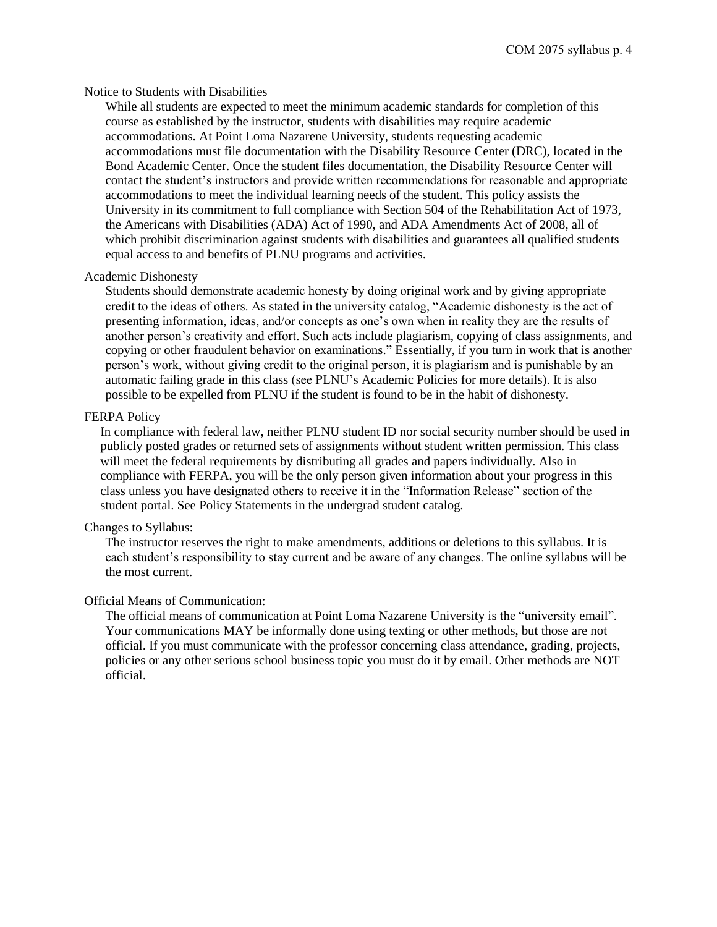### Notice to Students with Disabilities

While all students are expected to meet the minimum academic standards for completion of this course as established by the instructor, students with disabilities may require academic accommodations. At Point Loma Nazarene University, students requesting academic accommodations must file documentation with the Disability Resource Center (DRC), located in the Bond Academic Center. Once the student files documentation, the Disability Resource Center will contact the student's instructors and provide written recommendations for reasonable and appropriate accommodations to meet the individual learning needs of the student. This policy assists the University in its commitment to full compliance with Section 504 of the Rehabilitation Act of 1973, the Americans with Disabilities (ADA) Act of 1990, and ADA Amendments Act of 2008, all of which prohibit discrimination against students with disabilities and guarantees all qualified students equal access to and benefits of PLNU programs and activities.

### Academic Dishonesty

Students should demonstrate academic honesty by doing original work and by giving appropriate credit to the ideas of others. As stated in the university catalog, "Academic dishonesty is the act of presenting information, ideas, and/or concepts as one's own when in reality they are the results of another person's creativity and effort. Such acts include plagiarism, copying of class assignments, and copying or other fraudulent behavior on examinations." Essentially, if you turn in work that is another person's work, without giving credit to the original person, it is plagiarism and is punishable by an automatic failing grade in this class (see PLNU's Academic Policies for more details). It is also possible to be expelled from PLNU if the student is found to be in the habit of dishonesty.

### FERPA Policy

In compliance with federal law, neither PLNU student ID nor social security number should be used in publicly posted grades or returned sets of assignments without student written permission. This class will meet the federal requirements by distributing all grades and papers individually. Also in compliance with FERPA, you will be the only person given information about your progress in this class unless you have designated others to receive it in the "Information Release" section of the student portal. See Policy Statements in the undergrad student catalog.

### Changes to Syllabus:

The instructor reserves the right to make amendments, additions or deletions to this syllabus. It is each student's responsibility to stay current and be aware of any changes. The online syllabus will be the most current.

#### Official Means of Communication:

The official means of communication at Point Loma Nazarene University is the "university email". Your communications MAY be informally done using texting or other methods, but those are not official. If you must communicate with the professor concerning class attendance, grading, projects, policies or any other serious school business topic you must do it by email. Other methods are NOT official.